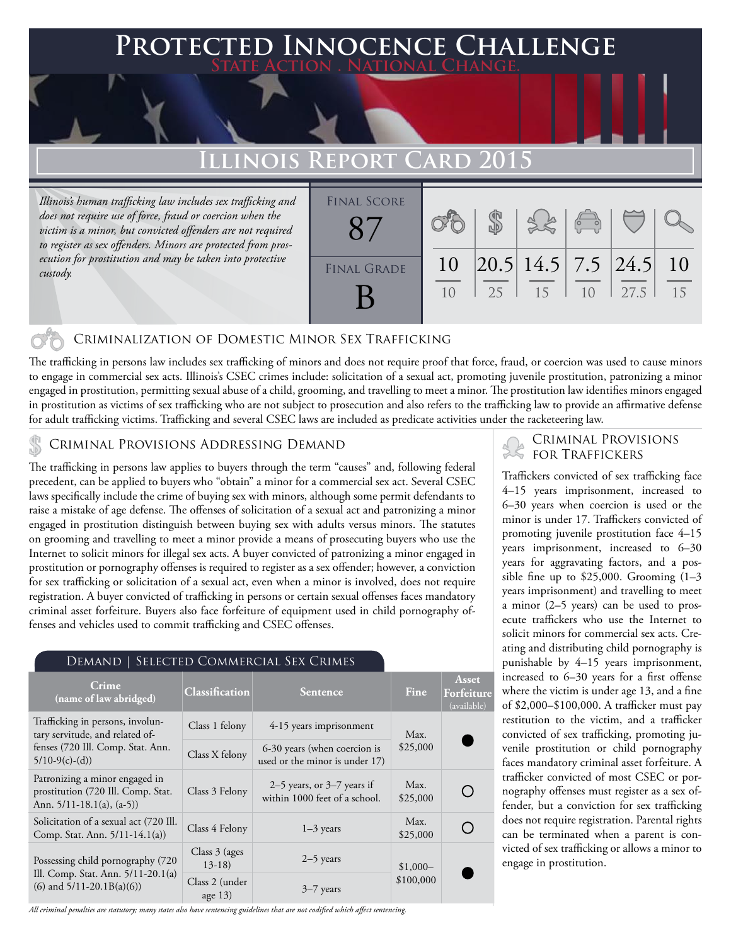## **Protected Innocence Challenge State Action . National Change.**

## **Illinois Report Card 2015**

*Illinois's human trafficking law includes sex trafficking and does not require use of force, fraud or coercion when the victim is a minor, but convicted offenders are not required to register as sex offenders. Minors are protected from prosecution for prostitution and may be taken into protective custody.*



### Criminalization of Domestic Minor Sex Trafficking

The trafficking in persons law includes sex trafficking of minors and does not require proof that force, fraud, or coercion was used to cause minors to engage in commercial sex acts. Illinois's CSEC crimes include: solicitation of a sexual act, promoting juvenile prostitution, patronizing a minor engaged in prostitution, permitting sexual abuse of a child, grooming, and travelling to meet a minor. The prostitution law identifies minors engaged in prostitution as victims of sex trafficking who are not subject to prosecution and also refers to the trafficking law to provide an affirmative defense for adult trafficking victims. Trafficking and several CSEC laws are included as predicate activities under the racketeering law.

## CRIMINAL PROVISIONS ADDRESSING DEMAND SALL PROVISIONS FOR TRAFFICKERS

The trafficking in persons law applies to buyers through the term "causes" and, following federal precedent, can be applied to buyers who "obtain" a minor for a commercial sex act. Several CSEC laws specifically include the crime of buying sex with minors, although some permit defendants to raise a mistake of age defense. The offenses of solicitation of a sexual act and patronizing a minor engaged in prostitution distinguish between buying sex with adults versus minors. The statutes on grooming and travelling to meet a minor provide a means of prosecuting buyers who use the Internet to solicit minors for illegal sex acts. A buyer convicted of patronizing a minor engaged in prostitution or pornography offenses is required to register as a sex offender; however, a conviction for sex trafficking or solicitation of a sexual act, even when a minor is involved, does not require registration. A buyer convicted of trafficking in persons or certain sexual offenses faces mandatory criminal asset forfeiture. Buyers also face forfeiture of equipment used in child pornography offenses and vehicles used to commit trafficking and CSEC offenses.

| <b>DEMAND   SELECTED COMMERCIAL SEX CRIMES</b>                                                                               |                             |                                                                 |                        |                                    |
|------------------------------------------------------------------------------------------------------------------------------|-----------------------------|-----------------------------------------------------------------|------------------------|------------------------------------|
| Crime<br>(name of law abridged)                                                                                              | Classification              | <b>Sentence</b>                                                 | Fine                   | Asset<br>Forfeiture<br>(available) |
| Trafficking in persons, involun-<br>tary servitude, and related of-<br>fenses (720 Ill. Comp. Stat. Ann.<br>$5/10-9(c)-(d))$ | Class 1 felony              | 4-15 years imprisonment                                         | Max.<br>\$25,000       |                                    |
|                                                                                                                              | Class X felony              | 6-30 years (when coercion is<br>used or the minor is under 17)  |                        |                                    |
| Patronizing a minor engaged in<br>prostitution (720 Ill. Comp. Stat.<br>Ann. $5/11-18.1(a)$ , $(a-5)$                        | Class 3 Felony              | $2-5$ years, or $3-7$ years if<br>within 1000 feet of a school. | Max.<br>\$25,000       |                                    |
| Solicitation of a sexual act (720 Ill.<br>Comp. Stat. Ann. 5/11-14.1(a))                                                     | Class 4 Felony              | $1-3$ years                                                     | Max.<br>\$25,000       |                                    |
| Possessing child pornography (720)<br>Ill. Comp. Stat. Ann. 5/11-20.1(a)<br>$(6)$ and $5/11-20.1B(a)(6)$                     | Class $3$ (ages)<br>$13-18$ | $2-5$ years                                                     | $$1,000-$<br>\$100,000 |                                    |
|                                                                                                                              | Class 2 (under<br>age $13)$ | $3-7$ years                                                     |                        |                                    |

*All criminal penalties are statutory; many states also have sentencing guidelines that are not codified which affect sentencing.* 

Traffickers convicted of sex trafficking face 4–15 years imprisonment, increased to 6–30 years when coercion is used or the minor is under 17. Traffickers convicted of promoting juvenile prostitution face 4–15 years imprisonment, increased to 6–30 years for aggravating factors, and a possible fine up to  $$25,000$ . Grooming  $(1-3)$ years imprisonment) and travelling to meet a minor (2–5 years) can be used to prosecute traffickers who use the Internet to solicit minors for commercial sex acts. Creating and distributing child pornography is punishable by 4–15 years imprisonment, increased to 6–30 years for a first offense where the victim is under age 13, and a fine of \$2,000–\$100,000. A trafficker must pay restitution to the victim, and a trafficker convicted of sex trafficking, promoting juvenile prostitution or child pornography faces mandatory criminal asset forfeiture. A trafficker convicted of most CSEC or pornography offenses must register as a sex offender, but a conviction for sex trafficking does not require registration. Parental rights can be terminated when a parent is convicted of sex trafficking or allows a minor to engage in prostitution.